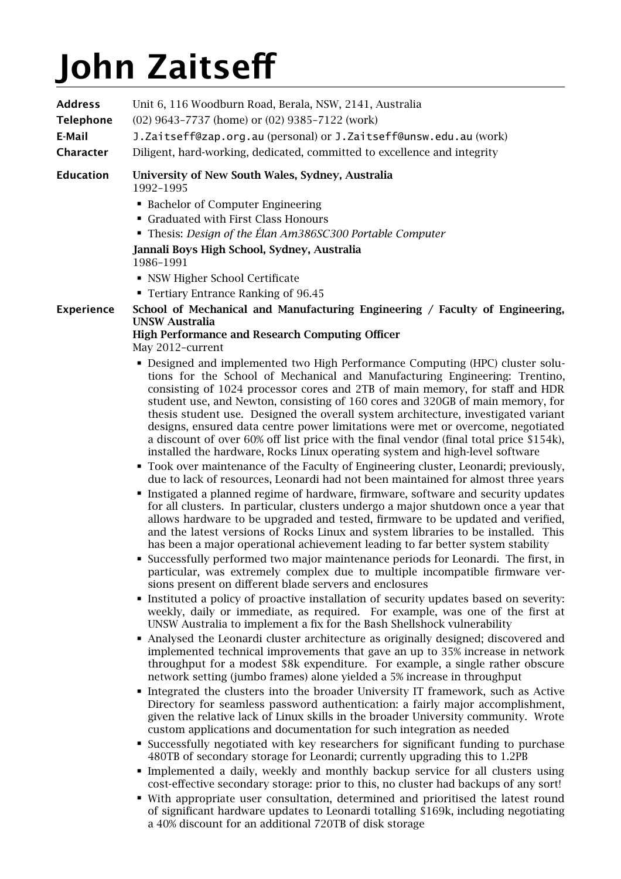# **John Zaitsef**

| <b>Address</b><br><b>Telephone</b><br>E-Mail<br><b>Character</b> | Unit 6, 116 Woodburn Road, Berala, NSW, 2141, Australia<br>(02) 9643-7737 (home) or (02) 9385-7122 (work)<br>J. Zaitseff@zap.org.au (personal) or J. Zaitseff@unsw.edu.au (work)<br>Diligent, hard-working, dedicated, committed to excellence and integrity                                                                                                                                                                                                                                                                                                                                                                                                                                                                                                                                                                                                                                                                                                                                                                                                                                                                                                                                                                                                                                                                                                                                                                                                                                                                                                                                                                                                                                                                                                                                                                                                                                                                                                                                                                                                                                                                                                                                                                                                                                                                                                                                                                                                                                                                                                                                                                                                                                                                                                                                                                      |
|------------------------------------------------------------------|-----------------------------------------------------------------------------------------------------------------------------------------------------------------------------------------------------------------------------------------------------------------------------------------------------------------------------------------------------------------------------------------------------------------------------------------------------------------------------------------------------------------------------------------------------------------------------------------------------------------------------------------------------------------------------------------------------------------------------------------------------------------------------------------------------------------------------------------------------------------------------------------------------------------------------------------------------------------------------------------------------------------------------------------------------------------------------------------------------------------------------------------------------------------------------------------------------------------------------------------------------------------------------------------------------------------------------------------------------------------------------------------------------------------------------------------------------------------------------------------------------------------------------------------------------------------------------------------------------------------------------------------------------------------------------------------------------------------------------------------------------------------------------------------------------------------------------------------------------------------------------------------------------------------------------------------------------------------------------------------------------------------------------------------------------------------------------------------------------------------------------------------------------------------------------------------------------------------------------------------------------------------------------------------------------------------------------------------------------------------------------------------------------------------------------------------------------------------------------------------------------------------------------------------------------------------------------------------------------------------------------------------------------------------------------------------------------------------------------------------------------------------------------------------------------------------------------------|
| <b>Education</b>                                                 | University of New South Wales, Sydney, Australia<br>1992-1995<br>• Bachelor of Computer Engineering<br>• Graduated with First Class Honours<br>• Thesis: Design of the Élan Am386SC300 Portable Computer<br>Jannali Boys High School, Sydney, Australia<br>1986-1991<br>• NSW Higher School Certificate<br>• Tertiary Entrance Ranking of 96.45                                                                                                                                                                                                                                                                                                                                                                                                                                                                                                                                                                                                                                                                                                                                                                                                                                                                                                                                                                                                                                                                                                                                                                                                                                                                                                                                                                                                                                                                                                                                                                                                                                                                                                                                                                                                                                                                                                                                                                                                                                                                                                                                                                                                                                                                                                                                                                                                                                                                                   |
| <b>Experience</b>                                                | School of Mechanical and Manufacturing Engineering / Faculty of Engineering,<br><b>UNSW Australia</b><br><b>High Performance and Research Computing Officer</b><br>May 2012-current<br>- Designed and implemented two High Performance Computing (HPC) cluster solu-<br>tions for the School of Mechanical and Manufacturing Engineering: Trentino,<br>consisting of 1024 processor cores and 2TB of main memory, for staff and HDR<br>student use, and Newton, consisting of 160 cores and 320GB of main memory, for<br>thesis student use. Designed the overall system architecture, investigated variant<br>designs, ensured data centre power limitations were met or overcome, negotiated<br>a discount of over 60% off list price with the final vendor (final total price \$154k),<br>installed the hardware, Rocks Linux operating system and high-level software<br>• Took over maintenance of the Faculty of Engineering cluster, Leonardi; previously,<br>due to lack of resources, Leonardi had not been maintained for almost three years<br>Instigated a planned regime of hardware, firmware, software and security updates<br>for all clusters. In particular, clusters undergo a major shutdown once a year that<br>allows hardware to be upgraded and tested, firmware to be updated and verified,<br>and the latest versions of Rocks Linux and system libraries to be installed. This<br>has been a major operational achievement leading to far better system stability<br>• Successfully performed two major maintenance periods for Leonardi. The first, in<br>particular, was extremely complex due to multiple incompatible firmware ver-<br>sions present on different blade servers and enclosures<br>• Instituted a policy of proactive installation of security updates based on severity:<br>weekly, daily or immediate, as required. For example, was one of the first at<br>UNSW Australia to implement a fix for the Bash Shellshock vulnerability<br>• Analysed the Leonardi cluster architecture as originally designed; discovered and<br>implemented technical improvements that gave an up to 35% increase in network<br>throughput for a modest \$8k expenditure. For example, a single rather obscure<br>network setting (jumbo frames) alone yielded a 5% increase in throughput<br>Integrated the clusters into the broader University IT framework, such as Active<br>Directory for seamless password authentication: a fairly major accomplishment,<br>given the relative lack of Linux skills in the broader University community. Wrote<br>custom applications and documentation for such integration as needed<br>• Successfully negotiated with key researchers for significant funding to purchase<br>480TB of secondary storage for Leonardi; currently upgrading this to 1.2PB |

- Implemented a daily, weekly and monthly backup service for all clusters using cost-effective secondary storage: prior to this, no cluster had backups of any sort!
- With appropriate user consultation, determined and prioritised the latest round of significant hardware updates to Leonardi totalling \$169k, including negotiating a 40% discount for an additional 720TB of disk storage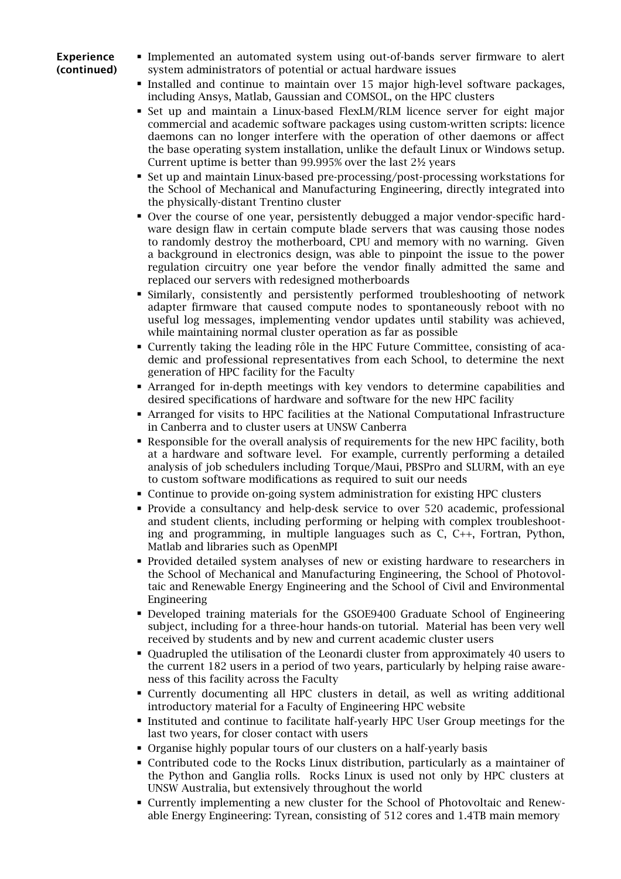#### **Experience (continued)**

- Implemented an automated system using out-of-bands server firmware to alert system administrators of potential or actual hardware issues
- Installed and continue to maintain over 15 major high-level software packages, including Ansys, Matlab, Gaussian and COMSOL, on the HPC clusters
- Set up and maintain a Linux-based FlexLM/RLM licence server for eight major commercial and academic software packages using custom-written scripts: licence daemons can no longer interfere with the operation of other daemons or affect the base operating system installation, unlike the default Linux or Windows setup. Current uptime is better than 99.995% over the last 2½ years
- Set up and maintain Linux-based pre-processing/post-processing workstations for the School of Mechanical and Manufacturing Engineering, directly integrated into the physically-distant Trentino cluster
- Over the course of one year, persistently debugged a major vendor-specific hardware design flaw in certain compute blade servers that was causing those nodes to randomly destroy the motherboard, CPU and memory with no warning. Given a background in electronics design, was able to pinpoint the issue to the power regulation circuitry one year before the vendor finally admitted the same and replaced our servers with redesigned motherboards
- Similarly, consistently and persistently performed troubleshooting of network adapter firmware that caused compute nodes to spontaneously reboot with no useful log messages, implementing vendor updates until stability was achieved, while maintaining normal cluster operation as far as possible
- Currently taking the leading rôle in the HPC Future Committee, consisting of academic and professional representatives from each School, to determine the next generation of HPC facility for the Faculty
- Arranged for in-depth meetings with key vendors to determine capabilities and desired specifications of hardware and software for the new HPC facility
- **EXECUTE:** Arranged for visits to HPC facilities at the National Computational Infrastructure in Canberra and to cluster users at UNSW Canberra
- Responsible for the overall analysis of requirements for the new HPC facility, both at a hardware and software level. For example, currently performing a detailed analysis of job schedulers including Torque/Maui, PBSPro and SLURM, with an eye to custom software modifications as required to suit our needs
- Continue to provide on-going system administration for existing HPC clusters
- Provide a consultancy and help-desk service to over 520 academic, professional and student clients, including performing or helping with complex troubleshooting and programming, in multiple languages such as C, C++, Fortran, Python, Matlab and libraries such as OpenMPI
- Provided detailed system analyses of new or existing hardware to researchers in the School of Mechanical and Manufacturing Engineering, the School of Photovoltaic and Renewable Energy Engineering and the School of Civil and Environmental Engineering
- Developed training materials for the GSOE9400 Graduate School of Engineering subject, including for a three-hour hands-on tutorial. Material has been very well received by students and by new and current academic cluster users
- Quadrupled the utilisation of the Leonardi cluster from approximately 40 users to the current 182 users in a period of two years, particularly by helping raise awareness of this facility across the Faculty
- Currently documenting all HPC clusters in detail, as well as writing additional introductory material for a Faculty of Engineering HPC website
- Instituted and continue to facilitate half-yearly HPC User Group meetings for the last two years, for closer contact with users
- Organise highly popular tours of our clusters on a half-yearly basis
- Contributed code to the Rocks Linux distribution, particularly as a maintainer of the Python and Ganglia rolls. Rocks Linux is used not only by HPC clusters at UNSW Australia, but extensively throughout the world
- Currently implementing a new cluster for the School of Photovoltaic and Renewable Energy Engineering: Tyrean, consisting of 512 cores and 1.4TB main memory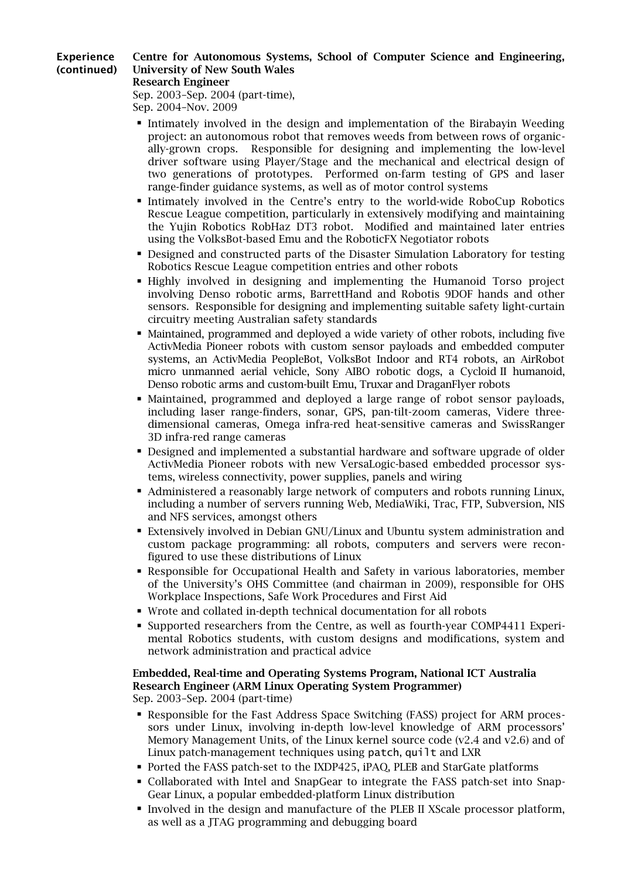#### **Experience (continued) Centre for Autonomous Systems, School of Computer Science and Engineering, University of New South Wales**

#### **Research Engineer**

Sep. 2003–Sep. 2004 (part-time), Sep. 2004–Nov. 2009

- Intimately involved in the design and implementation of the Birabayin Weeding project: an autonomous robot that removes weeds from between rows of organically-grown crops. Responsible for designing and implementing the low-level driver software using Player/Stage and the mechanical and electrical design of two generations of prototypes. Performed on-farm testing of GPS and laser range-finder guidance systems, as well as of motor control systems
- Intimately involved in the Centre's entry to the world-wide RoboCup Robotics Rescue League competition, particularly in extensively modifying and maintaining the Yujin Robotics RobHaz DT3 robot. Modified and maintained later entries using the VolksBot-based Emu and the RoboticFX Negotiator robots
- Designed and constructed parts of the Disaster Simulation Laboratory for testing Robotics Rescue League competition entries and other robots
- Highly involved in designing and implementing the Humanoid Torso project involving Denso robotic arms, BarrettHand and Robotis 9DOF hands and other sensors. Responsible for designing and implementing suitable safety light-curtain circuitry meeting Australian safety standards
- Maintained, programmed and deployed a wide variety of other robots, including five ActivMedia Pioneer robots with custom sensor payloads and embedded computer systems, an ActivMedia PeopleBot, VolksBot Indoor and RT4 robots, an AirRobot micro unmanned aerial vehicle, Sony AIBO robotic dogs, a Cycloid II humanoid, Denso robotic arms and custom-built Emu, Truxar and DraganFlyer robots
- **Maintained, programmed and deployed a large range of robot sensor payloads,** including laser range-finders, sonar, GPS, pan-tilt-zoom cameras, Videre threedimensional cameras, Omega infra-red heat-sensitive cameras and SwissRanger 3D infra-red range cameras
- **Designed and implemented a substantial hardware and software upgrade of older** ActivMedia Pioneer robots with new VersaLogic-based embedded processor systems, wireless connectivity, power supplies, panels and wiring
- Administered a reasonably large network of computers and robots running Linux, including a number of servers running Web, MediaWiki, Trac, FTP, Subversion, NIS and NFS services, amongst others
- Extensively involved in Debian GNU/Linux and Ubuntu system administration and custom package programming: all robots, computers and servers were reconfigured to use these distributions of Linux
- Responsible for Occupational Health and Safety in various laboratories, member of the University's OHS Committee (and chairman in 2009), responsible for OHS Workplace Inspections, Safe Work Procedures and First Aid
- Wrote and collated in-depth technical documentation for all robots
- Supported researchers from the Centre, as well as fourth-year COMP4411 Experimental Robotics students, with custom designs and modifications, system and network administration and practical advice

## **Embedded, Real-time and Operating Systems Program, National ICT Australia Research Engineer (ARM Linux Operating System Programmer)**

Sep. 2003–Sep. 2004 (part-time)

- Responsible for the Fast Address Space Switching (FASS) project for ARM processors under Linux, involving in-depth low-level knowledge of ARM processors' Memory Management Units, of the Linux kernel source code (v2.4 and v2.6) and of Linux patch-management techniques using patch, quilt and LXR
- Ported the FASS patch-set to the IXDP425, iPAQ, PLEB and StarGate platforms
- Collaborated with Intel and SnapGear to integrate the FASS patch-set into Snap-Gear Linux, a popular embedded-platform Linux distribution
- Involved in the design and manufacture of the PLEB II XScale processor platform, as well as a JTAG programming and debugging board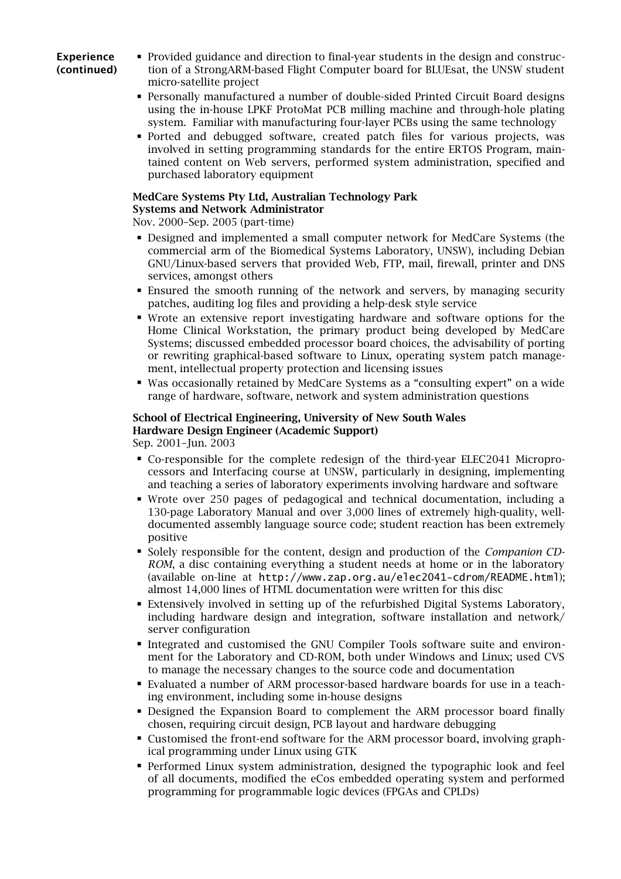#### **Experience (continued)**

- Provided guidance and direction to final-year students in the design and construction of a StrongARM-based Flight Computer board for BLUEsat, the UNSW student micro-satellite project
- Personally manufactured a number of double-sided Printed Circuit Board designs using the in-house LPKF ProtoMat PCB milling machine and through-hole plating system. Familiar with manufacturing four-layer PCBs using the same technology
- Ported and debugged software, created patch files for various projects, was involved in setting programming standards for the entire ERTOS Program, maintained content on Web servers, performed system administration, specified and purchased laboratory equipment

#### **MedCare Systems Pty Ltd, Australian Technology Park Systems and Network Administrator**

Nov. 2000–Sep. 2005 (part-time)

- Designed and implemented a small computer network for MedCare Systems (the commercial arm of the Biomedical Systems Laboratory, UNSW), including Debian GNU/Linux-based servers that provided Web, FTP, mail, firewall, printer and DNS services, amongst others
- Ensured the smooth running of the network and servers, by managing security patches, auditing log files and providing a help-desk style service
- Wrote an extensive report investigating hardware and software options for the Home Clinical Workstation, the primary product being developed by MedCare Systems; discussed embedded processor board choices, the advisability of porting or rewriting graphical-based software to Linux, operating system patch management, intellectual property protection and licensing issues
- Was occasionally retained by MedCare Systems as a "consulting expert" on a wide range of hardware, software, network and system administration questions

#### **School of Electrical Engineering, University of New South Wales Hardware Design Engineer (Academic Support)**

Sep. 2001–Jun. 2003

- Co-responsible for the complete redesign of the third-year ELEC2041 Microprocessors and Interfacing course at UNSW, particularly in designing, implementing and teaching a series of laboratory experiments involving hardware and software
- Wrote over 250 pages of pedagogical and technical documentation, including a 130-page Laboratory Manual and over 3,000 lines of extremely high-quality, welldocumented assembly language source code; student reaction has been extremely positive
- Solely responsible for the content, design and production of the *Companion CD-ROM*, a disc containing everything a student needs at home or in the laboratory (available on-line at [http://www.zap.org.au/elec2041-cdrom/R](http://www.zap.org.au/elec2041-cdrom/)EADME.html); almost 14,000 lines of HTML documentation were written for this disc
- Extensively involved in setting up of the refurbished Digital Systems Laboratory, including hardware design and integration, software installation and network/ server configuration
- Integrated and customised the GNU Compiler Tools software suite and environment for the Laboratory and CD-ROM, both under Windows and Linux; used CVS to manage the necessary changes to the source code and documentation
- Evaluated a number of ARM processor-based hardware boards for use in a teaching environment, including some in-house designs
- Designed the Expansion Board to complement the ARM processor board finally chosen, requiring circuit design, PCB layout and hardware debugging
- Customised the front-end software for the ARM processor board, involving graphical programming under Linux using GTK
- Performed Linux system administration, designed the typographic look and feel of all documents, modified the eCos embedded operating system and performed programming for programmable logic devices (FPGAs and CPLDs)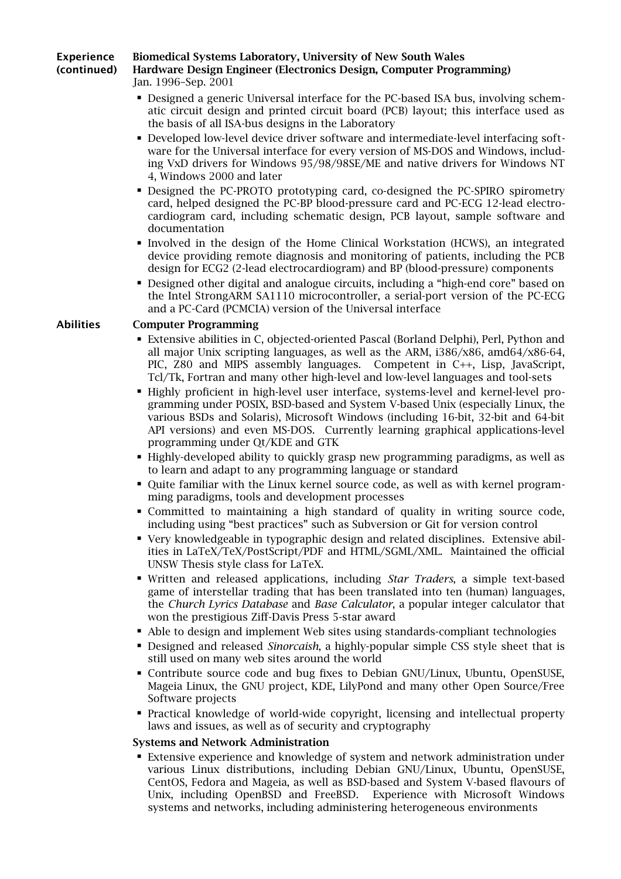#### **Experience Biomedical Systems Laboratory, University of New South Wales**

**(continued)**

### **Hardware Design Engineer (Electronics Design, Computer Programming)** Jan. 1996–Sep. 2001

- 
- Designed a generic Universal interface for the PC-based ISA bus, involving schematic circuit design and printed circuit board (PCB) layout; this interface used as the basis of all ISA-bus designs in the Laboratory
- Developed low-level device driver software and intermediate-level interfacing software for the Universal interface for every version of MS-DOS and Windows, including VxD drivers for Windows 95/98/98SE/ME and native drivers for Windows NT 4, Windows 2000 and later
- Designed the PC-PROTO prototyping card, co-designed the PC-SPIRO spirometry card, helped designed the PC-BP blood-pressure card and PC-ECG 12-lead electrocardiogram card, including schematic design, PCB layout, sample software and documentation
- Involved in the design of the Home Clinical Workstation (HCWS), an integrated device providing remote diagnosis and monitoring of patients, including the PCB design for ECG2 (2-lead electrocardiogram) and BP (blood-pressure) components
- Designed other digital and analogue circuits, including a "high-end core" based on the Intel StrongARM SA1110 microcontroller, a serial-port version of the PC-ECG and a PC-Card (PCMCIA) version of the Universal interface

#### **Abilities Computer Programming**

- Extensive abilities in C, objected-oriented Pascal (Borland Delphi), Perl, Python and all major Unix scripting languages, as well as the ARM, i386/x86, amd64/x86-64, PIC, Z80 and MIPS assembly languages. Competent in C++, Lisp, JavaScript, Tcl/Tk, Fortran and many other high-level and low-level languages and tool-sets
- Highly proficient in high-level user interface, systems-level and kernel-level programming under POSIX, BSD-based and System V-based Unix (especially Linux, the various BSDs and Solaris), Microsoft Windows (including 16-bit, 32-bit and 64-bit API versions) and even MS-DOS. Currently learning graphical applications-level programming under Qt/KDE and GTK
- Highly-developed ability to quickly grasp new programming paradigms, as well as to learn and adapt to any programming language or standard
- Quite familiar with the Linux kernel source code, as well as with kernel programming paradigms, tools and development processes
- Committed to maintaining a high standard of quality in writing source code, including using "best practices" such as Subversion or Git for version control
- Very knowledgeable in typographic design and related disciplines. Extensive abilities in LaTeX/TeX/PostScript/PDF and HTML/SGML/XML. Maintained the official UNSW Thesis style class for LaTeX.
- Written and released applications, including *[Star Traders](http://www.zap.org.au/software/trader/)*, a simple text-based game of interstellar trading that has been translated into ten (human) languages, the *[Church Lyrics Database](http://www.zap.org.au/documents/music/lyrics-database/)* and *Base Calculator*, a popular integer calculator that won the prestigious Ziff-Davis Press 5-star award
- Able to design and implement Web sites using standards-compliant technologies
- Designed and released *[Sinorcaish](http://www.zap.org.au/documents/styles/sinorcaish/example/)*, a highly-popular simple CSS style sheet that is still used on many web sites around the world
- Contribute source code and bug fixes to Debian GNU/Linux, Ubuntu, OpenSUSE, Mageia Linux, the GNU project, KDE, LilyPond and many other Open Source/Free Software projects
- Practical knowledge of world-wide copyright, licensing and intellectual property laws and issues, as well as of security and cryptography

#### **Systems and Network Administration**

■ Extensive experience and knowledge of system and network administration under various Linux distributions, including Debian GNU/Linux, Ubuntu, OpenSUSE, CentOS, Fedora and Mageia, as well as BSD-based and System V-based flavours of Unix, including OpenBSD and FreeBSD. Experience with Microsoft Windows systems and networks, including administering heterogeneous environments